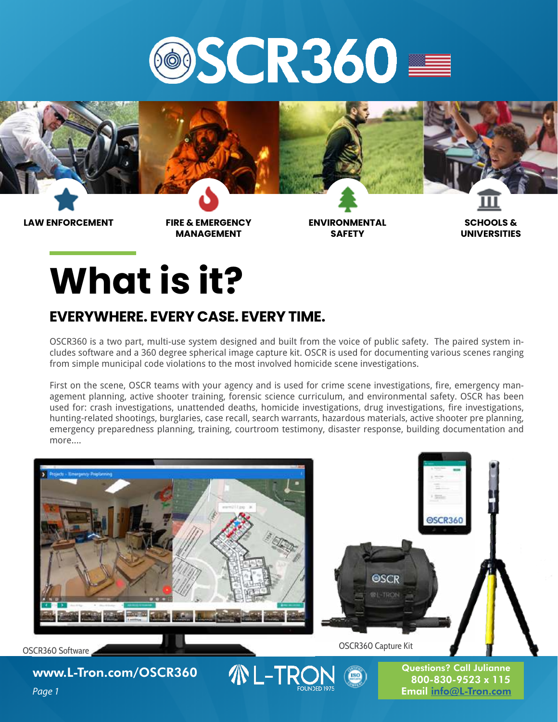



**MANAGEMENT**

**ENVIRONMENTAL SAFETY**

**SCHOOLS & UNIVERSITIES**

## **What is it?**

#### **EVERYWHERE. EVERY CASE. EVERY TIME.**

OSCR360 is a two part, multi-use system designed and built from the voice of public safety. The paired system includes software and a 360 degree spherical image capture kit. OSCR is used for documenting various scenes ranging from simple municipal code violations to the most involved homicide scene investigations.

First on the scene, OSCR teams with your agency and is used for crime scene investigations, fire, emergency management planning, active shooter training, forensic science curriculum, and environmental safety. OSCR has been used for: crash investigations, unattended deaths, homicide investigations, drug investigations, fire investigations, hunting-related shootings, burglaries, case recall, search warrants, hazardous materials, active shooter pre planning, emergency preparedness planning, training, courtroom testimony, disaster response, building documentation and more....

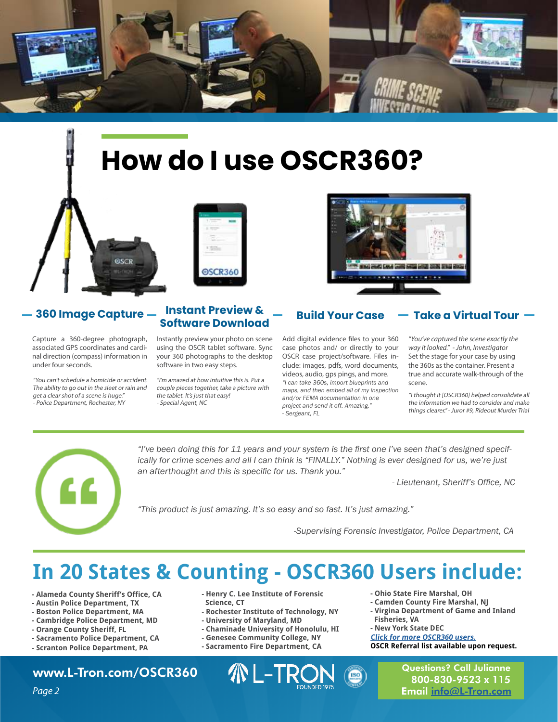

## **How do I use OSCR360?**



#### **360 Image Capture Instant Preview &**

Capture a 360-degree photograph, associated GPS coordinates and cardinal direction (compass) information in under four seconds.

"You can't schedule a homicide or accident. The ability to go out in the sleet or rain and get a clear shot of a scene is huge." - Police Department, Rochester, NY

# @SCR360

### **Software Download Build Your Case**

Instantly preview your photo on scene using the OSCR tablet software. Sync your 360 photographs to the desktop software in two easy steps.

"I'm amazed at how intuitive this is. Put a couple pieces together, take a picture with the tablet. It's just that easy! - Special Agent, NC



Add digital evidence files to your 360 case photos and/ or directly to your OSCR case project/software. Files include: images, pdfs, word documents, videos, audio, gps pings, and more. *"I can take 360s, import blueprints and maps, and then embed all of my inspection and/or FEMA documentation in one project and send it off. Amazing." - Sergeant, FL*

#### **Take a Virtual Tour**

"You've captured the scene exactly the way it looked." - John, Investigator Set the stage for your case by using the 360s as the container. Present a true and accurate walk-through of the scene.

"I thought it [OSCR360] helped consolidate all the information we had to consider and make things clearer." - Juror #9, Rideout Murder Trial



*"I've been doing this for 11 years and your system is the first one I've seen that's designed specifically for crime scenes and all I can think is "FINALLY." Nothing is ever designed for us, we're just an afterthought and this is specific for us. Thank you."* 

*- Lieutenant, Sheriff's Office, NC*

*"This product is just amazing. It's so easy and so fast. It's just amazing."*

*-Supervising Forensic Investigator, Police Department, CA*

## **In 20 States & Counting - OSCR360 Users include:**

- **Alameda County Sheriff's Office, CA**
- **Austin Police Department, TX**
- **Boston Police Department, MA**
- **Cambridge Police Department, MD**
- **Orange County Sheriff, FL**
- **Sacramento Police Department, CA**
- **Scranton Police Department, PA**

#### [www.L-Tron.com/OSCR360](https://www.l-tron.com/oscr360)

- **Henry C. Lee Institute of Forensic Science, CT**
- **Rochester Institute of Technology, NY**
- **University of Maryland, MD**
- **Chaminade University of Honolulu, HI**
- **Genesee Community College, NY**
- **Sacramento Fire Department, CA**



- **Ohio State Fire Marshal, OH**
- **Camden County Fire Marshal, NJ**
- **Virgina Department of Game and Inland Fisheries, VA**
- **New York State DEC**

**[Click for more OSCR360 users.](https://www.l-tron.com/oscr-is-traveling-the-country) OSCR Referral list available upon request.**

> Questions? Call Julianne 800-830-9523 x 115 Email [info@L-Tron.com](mailto:info@L-Tron.com)

Page 2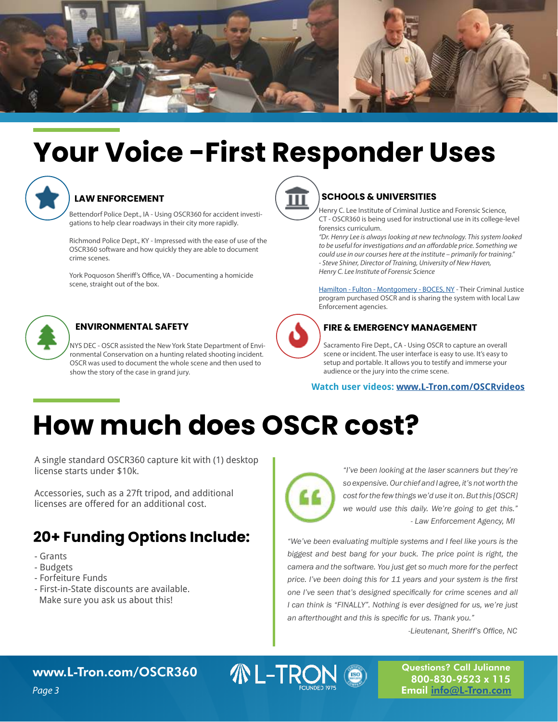

## **Your Voice -First Responder Uses**



#### **LAW ENFORCEMENT**

Bettendorf Police Dept., IA - Using OSCR360 for accident investigations to help clear roadways in their city more rapidly.

Richmond Police Dept., KY - Impressed with the ease of use of the OSCR360 software and how quickly they are able to document crime scenes.

York Poquoson Sheriff's Office, VA - Documenting a homicide scene, straight out of the box.



NYS DEC - OSCR assisted the New York State Department of Environmental Conservation on a hunting related shooting incident. OSCR was used to document the whole scene and then used to show the story of the case in grand jury.



#### **SCHOOLS & UNIVERSITIES**

Henry C. Lee Institute of Criminal Justice and Forensic Science, CT - OSCR360 is being used for instructional use in its college-level forensics curriculum.

"Dr. Henry Lee is always looking at new technology. This system looked to be useful for investigations and an affordable price. Something we could use in our courses here at the institute – primarily for training." - Steve Shiner, Director of Training, University of New Haven, Henry C. Lee Institute of Forensic Science

[Hamilton - Fulton - Montgomery - BOCES, NY](https://www.hfmboces.org/hfm-career-and-technical-center-photographic-resources-to-aid-local-police/) - Their Criminal Justice program purchased OSCR and is sharing the system with local Law Enforcement agencies.



#### **ENVIRONMENTAL SAFETY**  $\left\{\right.$  **FIRE & EMERGENCY MANAGEMENT**

Sacramento Fire Dept., CA - Using OSCR to capture an overall scene or incident. The user interface is easy to use. It's easy to setup and portable. It allows you to testify and immerse your audience or the jury into the crime scene.

**Watch user videos: [www.L-Tron.com/OSCRvideos](http://www.L-Tron.com/OSCRvideos)**

## **How much does OSCR cost?**

A single standard OSCR360 capture kit with (1) desktop license starts under \$10k.

Accessories, such as a 27ft tripod, and additional licenses are offered for an additional cost.

#### **20+ Funding Options Include:**

- Grants
- Budgets
- Forfeiture Funds
- First-in-State discounts are available. Make sure you ask us about this!



**ML-TRON** 

*"I've been looking at the laser scanners but they're so expensive. Our chief and I agree, it's not worth the cost for the few things we'd use it on. But this [OSCR] we would use this daily. We're going to get this." - Law Enforcement Agency, MI*

*"We've been evaluating multiple systems and I feel like yours is the biggest and best bang for your buck. The price point is right, the camera and the software. You just get so much more for the perfect price. I've been doing this for 11 years and your system is the first one I've seen that's designed specifically for crime scenes and all I can think is "FINALLY". Nothing is ever designed for us, we're just an afterthought and this is specific for us. Thank you."*

*-Lieutenant, Sheriff's Office, NC*

Questions? Call Julianne 800-830-9523 x 115 Email [info@L-Tron.com](mailto:info@L-Tron.com)

[www.L-Tron.com/OSCR360](https://www.l-tron.com/oscr360)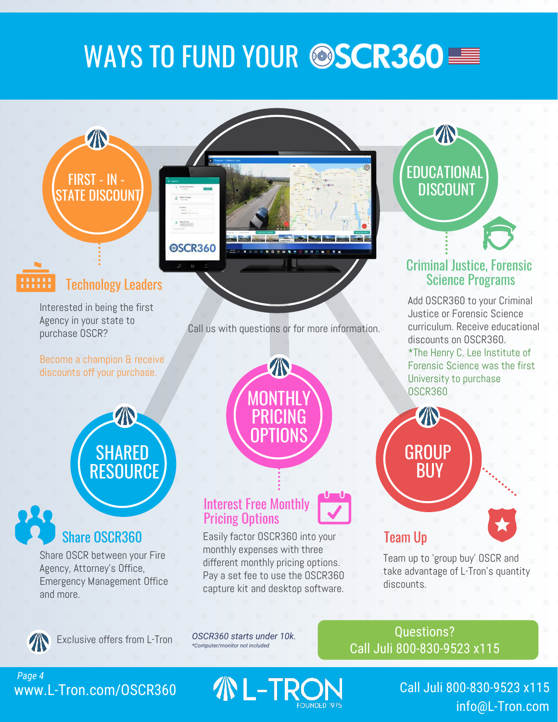## WAYS TO FUND YOUR @SCR360

## FIRST - IN - STATE DISCOUNT

T



#### Technology Leaders

Interested in being the first Agency in your state to purchase OSCR?

Become a champion & receive discounts off your purchase.



### Share OSCR360

Share OSCR between your Fire Agency, Attorney's Office, Emergency Management Office and more.



capture kit and desktop software.

Interest Free Monthly

Pricing Options

*OSCR360 starts under 10k.* Questions? Exclusive offers from L-Tron *OSCR360 starts under 10k.*<br><sup>\*Computer/monitor not included</sup> [Call Juli 800-830-9523 x115](tel:8008309523)

#### Call us with questions or for more information.

MONTHLY

 $\sqrt{2}$ 

PRICING

OPTIONS

## Criminal Justice, Forensic Science Programs

**EDUCATIONAL DISCOUNT** 

Add OSCR360 to your Criminal Justice or Forensic Science curriculum. Receive educational discounts on OSCR360.

\*The Henry C. Lee Institute of Forensic Science was the first University to purchase OSCR360

# **BUY**

Team Up

**GROUP** 



Team up to 'group buy' OSCR and take advantage of L-Tron's quantity discounts.

#### <www.L-Tron.com/OSCR360> *Page 4*

L-TR

Call [Juli 800-830-9523 x115](tel:8008309523) [info@L-Tron.com](mailto:info@L-Tron.com)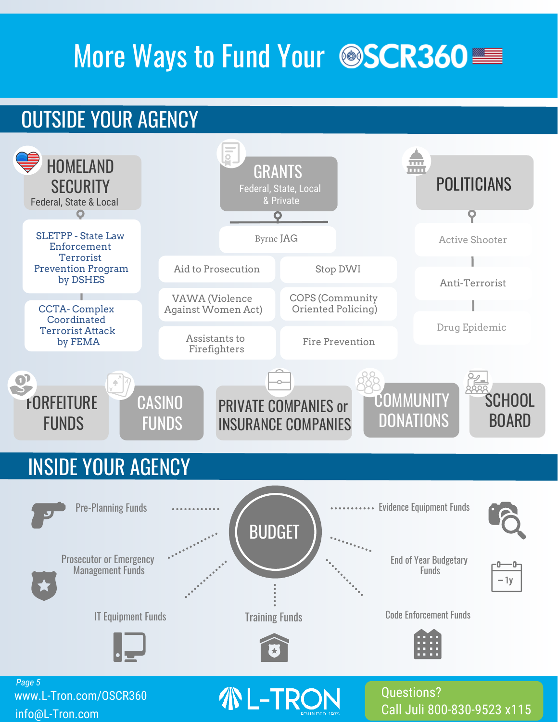## More Ways to Fund Your @SCR360

## OUTSIDE YOUR AGENCY



[Call Juli 800-830-9523 x115](tel:8008309523)

[info@L-Tron.com](mailto:info@L-Tron.com)